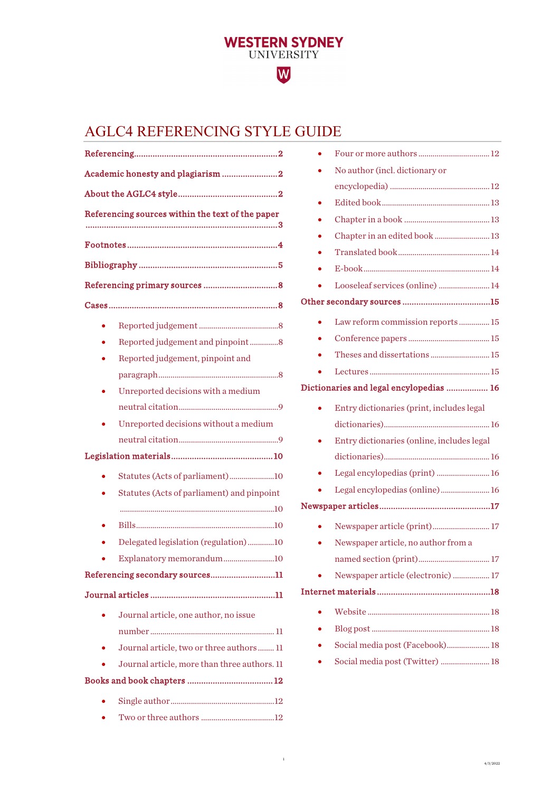# W

**WESTERN SYDNEY**<br>UNIVERSITY

# AGLC4 REFERENCING STYLE GUIDE

| Academic honesty and plagiarism 2 |                                                  |
|-----------------------------------|--------------------------------------------------|
|                                   |                                                  |
|                                   | Referencing sources within the text of the paper |
|                                   |                                                  |
|                                   |                                                  |
|                                   |                                                  |
|                                   |                                                  |
|                                   |                                                  |
|                                   | Reported judgement and pinpoint8                 |
|                                   | Reported judgement, pinpoint and                 |
|                                   |                                                  |
|                                   | Unreported decisions with a medium               |
|                                   |                                                  |
|                                   | Unreported decisions without a medium            |
|                                   |                                                  |
|                                   |                                                  |
|                                   | Statutes (Acts of parliament)10                  |
|                                   | Statutes (Acts of parliament) and pinpoint       |
|                                   |                                                  |
|                                   |                                                  |
|                                   | Delegated legislation (regulation)10             |
|                                   | Explanatory memorandum10                         |
|                                   | Referencing secondary sources11                  |
|                                   |                                                  |
|                                   | Journal article, one author, no issue            |
|                                   |                                                  |
|                                   | Journal article, two or three authors  11        |
|                                   | Journal article, more than three authors. 11     |
|                                   |                                                  |
|                                   |                                                  |
|                                   |                                                  |

| No author (incl. dictionary or             |
|--------------------------------------------|
|                                            |
|                                            |
|                                            |
| Chapter in an edited book  13              |
|                                            |
|                                            |
| Looseleaf services (online) 14             |
|                                            |
| Law reform commission reports  15          |
|                                            |
|                                            |
|                                            |
| Dictionaries and legal encylopedias  16    |
| Entry dictionaries (print, includes legal  |
|                                            |
| Entry dictionaries (online, includes legal |
|                                            |
| Legal encylopedias (print)  16             |
| Legal encylopedias (online) 16             |
|                                            |
| Newspaper article (print) 17               |
| Newspaper article, no author from a        |
|                                            |
| Newspaper article (electronic)  17         |
|                                            |
|                                            |
|                                            |
| Social media post (Facebook) 18            |
| Social media post (Twitter)  18            |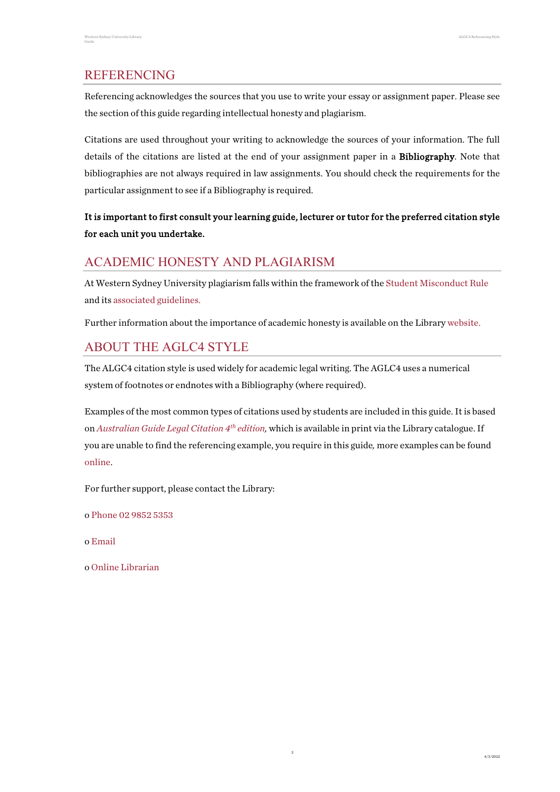# <span id="page-1-0"></span>REFERENCING

Referencing acknowledges the sources that you use to write your essay or assignment paper. Please see the section of this guide regarding intellectual honesty and plagiarism.

Citations are used throughout your writing to acknowledge the sources of your information. The full details of the citations are listed at the end of your assignment paper in a Bibliography. Note that bibliographies are not always required in law assignments. You should check the requirements for the particular assignment to see if a Bibliography is required.

# It is important to first consult your learning guide, lecturer or tutor for the preferred citation style for each unit you undertake.

# <span id="page-1-1"></span>ACADEMIC HONESTY AND PLAGIARISM

At Western Sydney University plagiarism falls within the framework of the Student [Misconduct Rule](https://policies.westernsydney.edu.au/document/view.current.php?id=304) and it[s associated guidelines.](https://policies.westernsydney.edu.au/document/associated-information.php?id=304)

Further information about the importance of academic honesty is available on the Librar[y website.](http://library.westernsydney.edu.au/main/guides/turnitin/academic-honesty)

# <span id="page-1-2"></span>ABOUT THE AGLC4 STYLE

The ALGC4 citation style is used widely for academic legal writing. The AGLC4 uses a numerical system of footnotes or endnotes with a Bibliography (where required).

Examples of the most common types of citations used by students are included in this guide. It is based on *[Australian Guide Legal Citation 4th](https://west-sydney-primo.hosted.exlibrisgroup.com/permalink/f/1vt0uuc/UWS-ALMA21243630000001571) edition,* which is available in print via the Library catalogue. If you are unable to find the referencing example, you require in this guide*,* more examples can be found [online.](https://drive.google.com/file/d/1TGvYqdqQnOU-GtSV3I25ft6EyYIx_w4U/edit)

2

For further support, please contact the Library:

o Phone 02 9852 5353

- o [Email](http://answers.library.westernsydney.edu.au/form.php)
- o [Online Librarian](https://library.westernsydney.edu.au/main/help/contact-us)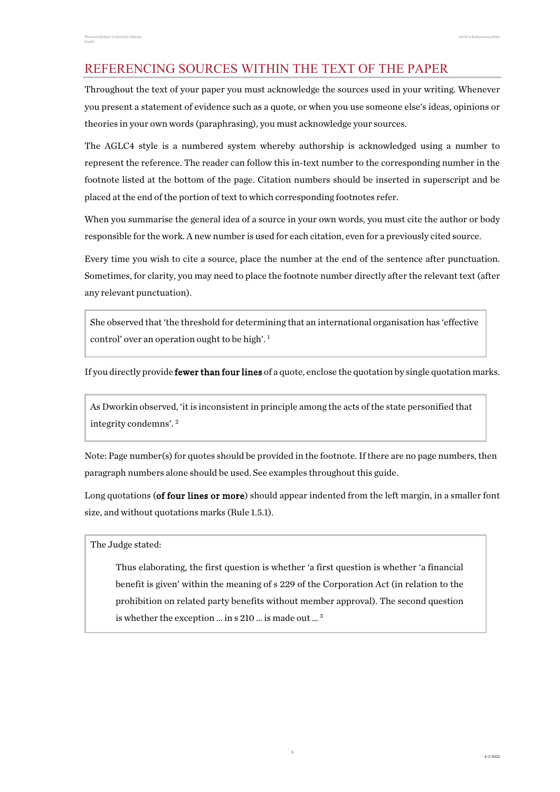# <span id="page-2-0"></span>REFERENCING SOURCES WITHIN THE TEXT OF THE PAPER

Throughout the text of your paper you must acknowledge the sources used in your writing. Whenever you present a statement of evidence such as a quote, or when you use someone else's ideas, opinions or theories in your own words (paraphrasing), you must acknowledge your sources.

The AGLC4 style is a numbered system whereby authorship is acknowledged using a number to represent the reference. The reader can follow this in-text number to the corresponding number in the footnote listed at the bottom of the page. Citation numbers should be inserted in superscript and be placed at the end of the portion of text to which corresponding footnotes refer.

When you summarise the general idea of a source in your own words, you must cite the author or body responsible for the work. A new number is used for each citation, even for a previously cited source.

Every time you wish to cite a source, place the number at the end of the sentence after punctuation. Sometimes, for clarity, you may need to place the footnote number directly after the relevant text (after any relevant punctuation).

She observed that 'the threshold for determining that an international organisation has 'effective control' over an operation ought to be high'. <sup>1</sup>

If you directly provide **fewer than four lines** of a quote, enclose the quotation by single quotation marks.

As Dworkin observed, 'it is inconsistent in principle among the acts of the state personified that integrity condemns'. 2

Note: Page number(s) for quotes should be provided in the footnote. If there are no page numbers, then paragraph numbers alone should be used. See examples throughout this guide.

Long quotations (of four lines or more) should appear indented from the left margin, in a smaller font size, and without quotations marks (Rule 1.5.1).

The Judge stated:

Thus elaborating, the first question is whether 'a first question is whether 'a financial benefit is given' within the meaning of s 229 of the Corporation Act (in relation to the prohibition on related party benefits without member approval). The second question is whether the exception … in s 210 … is made out … 3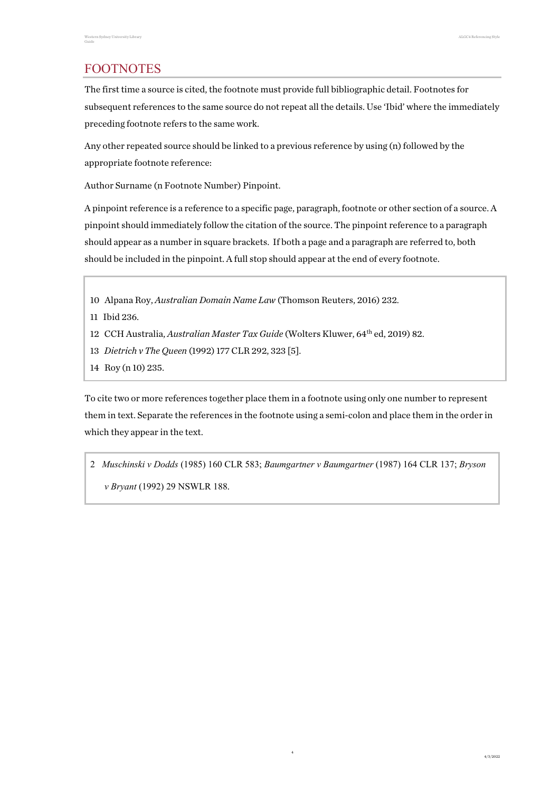# <span id="page-3-0"></span>FOOTNOTES

The first time a source is cited, the footnote must provide full bibliographic detail. Footnotes for subsequent references to the same source do not repeat all the details. Use 'Ibid' where the immediately preceding footnote refers to the same work.

Any other repeated source should be linked to a previous reference by using (n) followed by the appropriate footnote reference:

Author Surname (n Footnote Number) Pinpoint.

A pinpoint reference is a reference to a specific page, paragraph, footnote or other section of a source. A pinpoint should immediately follow the citation of the source. The pinpoint reference to a paragraph should appear as a number in square brackets. If both a page and a paragraph are referred to, both should be included in the pinpoint. A full stop should appear at the end of every footnote.

- 10 Alpana Roy, *Australian Domain Name Law* (Thomson Reuters, 2016) 232.
- 11 Ibid 236.
- 12 CCH Australia, *Australian Master Tax Guide* (Wolters Kluwer, 64th ed, 2019) 82.
- 13 *Dietrich v The Queen* (1992) 177 CLR 292, 323 [5].
- 14 Roy (n 10) 235.

To cite two or more references together place them in a footnote using only one number to represent them in text. Separate the references in the footnote using a semi-colon and place them in the order in which they appear in the text.

2 *Muschinski v Dodds* (1985) 160 CLR 583; *Baumgartner v Baumgartner* (1987) 164 CLR 137; *Bryson v Bryant* (1992) 29 NSWLR 188.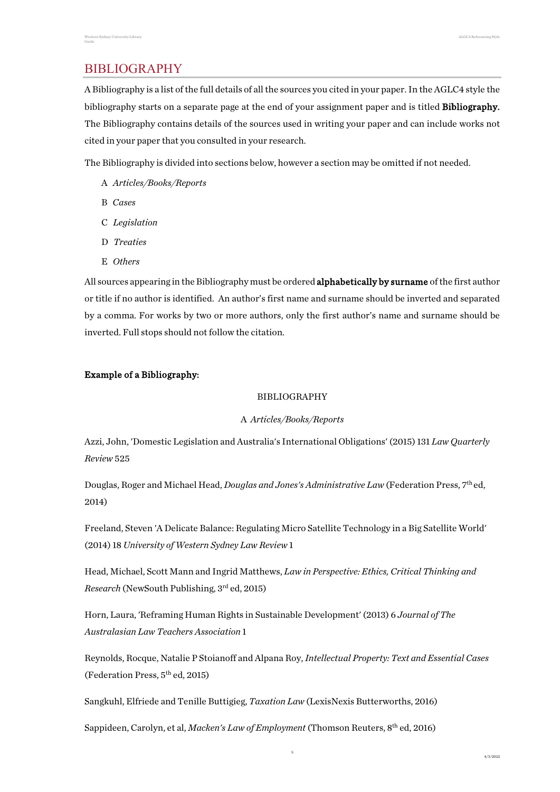# <span id="page-4-0"></span>**BIBLIOGRAPHY**

A Bibliography is a list of the full details of all the sources you cited in your paper. In the AGLC4 style the bibliography starts on a separate page at the end of your assignment paper and is titled Bibliography. The Bibliography contains details of the sources used in writing your paper and can include works not cited in your paper that you consulted in your research.

The Bibliography is divided into sections below, however a section may be omitted if not needed.

- A *Articles/Books/Reports*
- B *Cases*
- C *Legislation*
- D *Treaties*
- E *Others*

All sources appearing in the Bibliography must be ordered **alphabetically by surname** of the first author or title if no author is identified. An author's first name and surname should be inverted and separated by a comma. For works by two or more authors, only the first author's name and surname should be inverted. Full stops should not follow the citation.

#### Example of a Bibliography:

#### **BIBLIOGRAPHY**

#### A *Articles/Books/Reports*

Azzi, John, 'Domestic Legislation and Australia's International Obligations' (2015) 131 *Law Quarterly Review* 525

Douglas, Roger and Michael Head, *Douglas and Jones's Administrative Law* (Federation Press, 7th ed, 2014)

Freeland, Steven 'A Delicate Balance: Regulating Micro Satellite Technology in a Big Satellite World' (2014) 18 *University of Western Sydney Law Review* 1

Head, Michael, Scott Mann and Ingrid Matthews, *Law in Perspective: Ethics, Critical Thinking and Research* (NewSouth Publishing, 3rd ed, 2015)

Horn, Laura, 'Reframing Human Rights in Sustainable Development' (2013) 6 *Journal of The Australasian Law Teachers Association* 1

Reynolds, Rocque, Natalie P Stoianoff and Alpana Roy, *Intellectual Property: Text and Essential Cases*  (Federation Press, 5th ed, 2015)

5

Sangkuhl, Elfriede and Tenille Buttigieg, *Taxation Law* (LexisNexis Butterworths, 2016)

Sappideen, Carolyn, et al, *Macken's Law of Employment* (Thomson Reuters, 8th ed, 2016)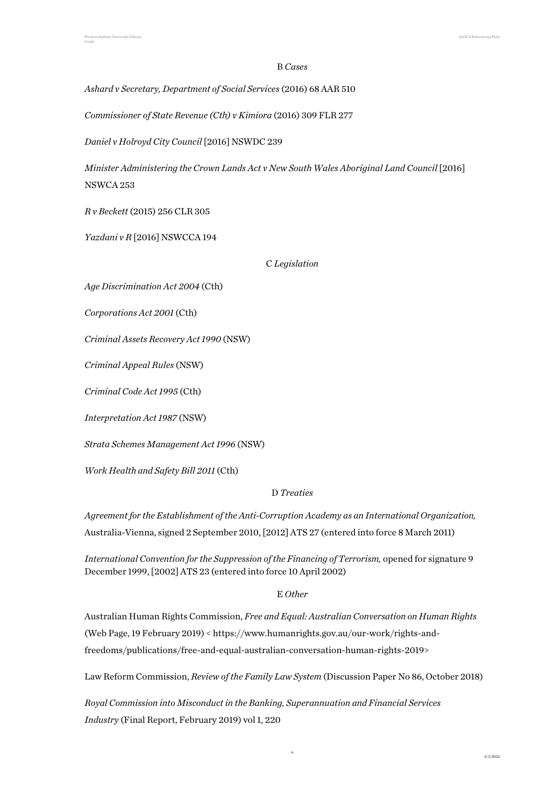#### B *Cases*

*Ashard v Secretary, Department of Social Services* (2016) 68 AAR 510

*Commissioner of State Revenue (Cth) v Kimiora* (2016) 309 FLR 277

*Daniel v Holroyd City Council* [2016] NSWDC 239

*Minister Administering the Crown Lands Act v New South Wales Aboriginal Land Council* [2016] NSWCA 253

*R v Beckett* (2015) 256 CLR 305

*Yazdani v R* [2016] NSWCCA 194

C *Legislation*

*Age Discrimination Act 2004* (Cth)

*Corporations Act 2001* (Cth)

*Criminal Assets Recovery Act 1990* (NSW)

*Criminal Appeal Rules* (NSW)

*Criminal Code Act 1995* (Cth)

*Interpretation Act 1987* (NSW)

*Strata Schemes Management Act 1996* (NSW)

*Work Health and Safety Bill 2011* (Cth)

#### D *Treaties*

*Agreement for the Establishment of the Anti-Corruption Academy as an International Organization,*  Australia-Vienna, signed 2 September 2010, [2012] ATS 27 (entered into force 8 March 2011)

*International Convention for the Suppression of the Financing of Terrorism, opened for signature 9* December 1999, [2002] ATS 23 (entered into force 10 April 2002)

#### E *Other*

Australian Human Rights Commission, *Free and Equal: Australian Conversation on Human Rights* (Web Page, 19 February 2019) < https://www.humanrights.gov.au/our-work/rights-andfreedoms/publications/free-and-equal-australian-conversation-human-rights-2019>

Law Reform Commission, *Review of the Family Law System* (Discussion Paper No 86, October 2018)

6

*Royal Commission into Misconduct in the Banking, Superannuation and Financial Services Industry* (Final Report, February 2019) vol 1, 220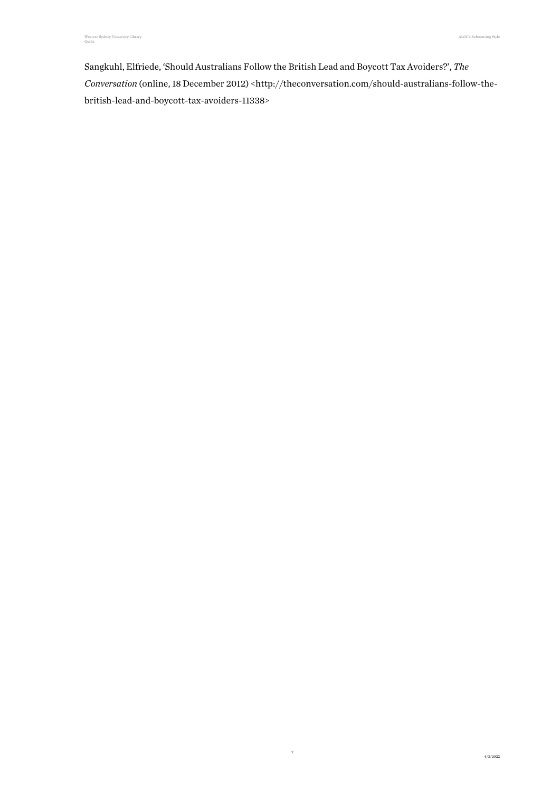Sangkuhl, Elfriede, 'Should Australians Follow the British Lead and Boycott Tax Avoiders?', *The Conversation* (online, 18 December 2012) <http://theconversation.com/should-australians-follow-thebritish-lead-and-boycott-tax-avoiders-11338>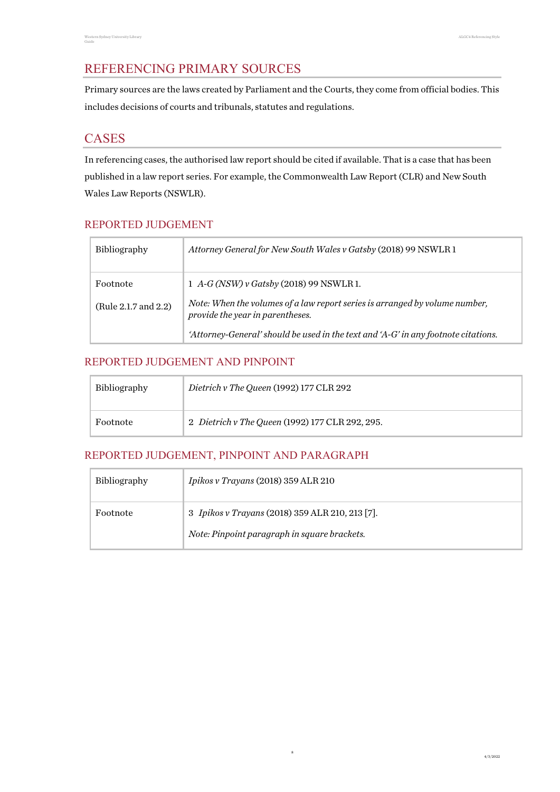# <span id="page-7-0"></span>REFERENCING PRIMARY SOURCES

Primary sources are the laws created by Parliament and the Courts, they come from official bodies. This includes decisions of courts and tribunals, statutes and regulations.

# <span id="page-7-1"></span>CASES

In referencing cases, the authorised law report should be cited if available. That is a case that has been published in a law report series. For example, the Commonwealth Law Report (CLR) and New South Wales Law Reports (NSWLR).

# <span id="page-7-2"></span>REPORTED JUDGEMENT

| Bibliography         | Attorney General for New South Wales v Gatsby (2018) 99 NSWLR 1                                                 |
|----------------------|-----------------------------------------------------------------------------------------------------------------|
| Footnote             | 1 A-G (NSW) v Gatsby (2018) 99 NSWLR 1.                                                                         |
| (Rule 2.1.7 and 2.2) | Note: When the volumes of a law report series is arranged by volume number,<br>provide the year in parentheses. |
|                      | 'Attorney-General' should be used in the text and 'A-G' in any footnote citations.                              |

# <span id="page-7-3"></span>REPORTED JUDGEMENT AND PINPOINT

| <b>Bibliography</b> | Dietrich v The Queen (1992) 177 CLR 292         |
|---------------------|-------------------------------------------------|
| Footnote            | 2 Dietrich v The Queen (1992) 177 CLR 292, 295. |

#### <span id="page-7-4"></span>REPORTED JUDGEMENT, PINPOINT AND PARAGRAPH

| <b>Bibliography</b> | Ipikos v Trayans (2018) 359 ALR 210             |
|---------------------|-------------------------------------------------|
| Footnote            | 3 Ipikos v Trayans (2018) 359 ALR 210, 213 [7]. |
|                     | Note: Pinpoint paragraph in square brackets.    |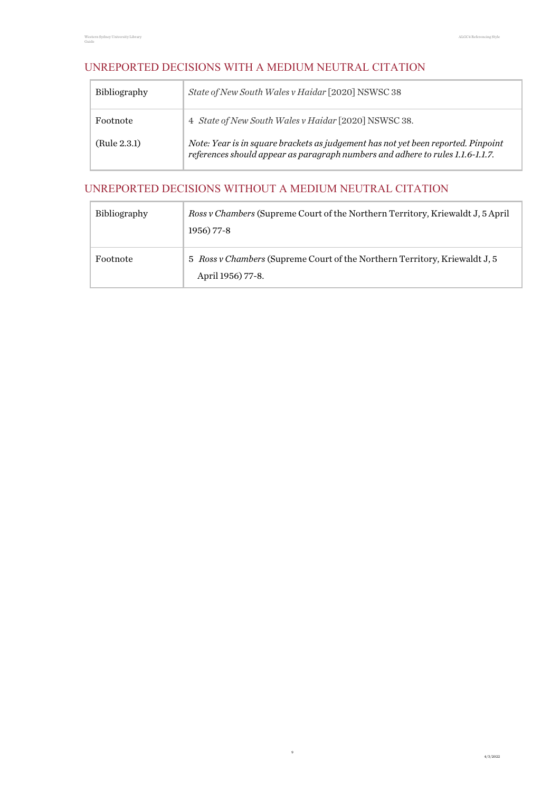# <span id="page-8-0"></span>UNREPORTED DECISIONS WITH A MEDIUM NEUTRAL CITATION

| <b>Bibliography</b> | State of New South Wales v Haidar [2020] NSWSC 38                                                                                                                   |
|---------------------|---------------------------------------------------------------------------------------------------------------------------------------------------------------------|
| Footnote            | 4 State of New South Wales v Haidar [2020] NSWSC 38.                                                                                                                |
| (Rule 2.3.1)        | Note: Year is in square brackets as judgement has not yet been reported. Pinpoint<br>references should appear as paragraph numbers and adhere to rules 1.1.6-1.1.7. |

# <span id="page-8-1"></span>UNREPORTED DECISIONS WITHOUT A MEDIUM NEUTRAL CITATION

| Bibliography | <i>Ross v Chambers</i> (Supreme Court of the Northern Territory, Kriewaldt J, 5 April<br>1956) 77-8    |
|--------------|--------------------------------------------------------------------------------------------------------|
| Footnote     | 5 <i>Ross v Chambers</i> (Supreme Court of the Northern Territory, Kriewaldt J, 5<br>April 1956) 77-8. |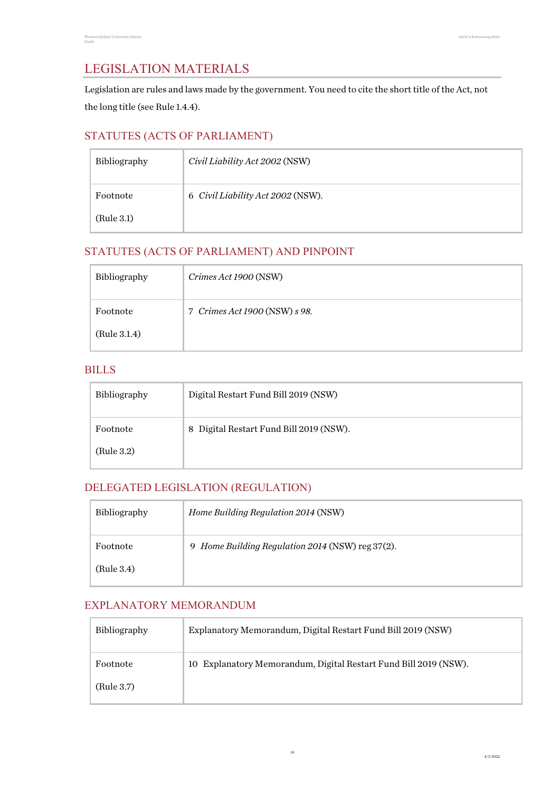# <span id="page-9-0"></span>LEGISLATION MATERIALS

Legislation are rules and laws made by the government. You need to cite the short title of the Act, not the long title (see Rule 1.4.4).

# <span id="page-9-1"></span>STATUTES (ACTS OF PARLIAMENT)

| Bibliography | Civil Liability Act 2002 (NSW)    |
|--------------|-----------------------------------|
| Footnote     | 6 Civil Liability Act 2002 (NSW). |
| (Rule 3.1)   |                                   |

# <span id="page-9-2"></span>STATUTES (ACTS OF PARLIAMENT) AND PINPOINT

| Bibliography | Crimes Act 1900 (NSW)         |
|--------------|-------------------------------|
| Footnote     | 7 Crimes Act 1900 (NSW) s 98. |
| (Rule 3.1.4) |                               |

#### <span id="page-9-3"></span>BILLS

| Bibliography | Digital Restart Fund Bill 2019 (NSW)    |
|--------------|-----------------------------------------|
| Footnote     | 8 Digital Restart Fund Bill 2019 (NSW). |
| (Rule 3.2)   |                                         |

# <span id="page-9-4"></span>DELEGATED LEGISLATION (REGULATION)

| Bibliography | Home Building Regulation 2014 (NSW)              |
|--------------|--------------------------------------------------|
| Footnote     | 9 Home Building Regulation 2014 (NSW) reg 37(2). |
| (Rule 3.4)   |                                                  |

#### <span id="page-9-5"></span>EXPLANATORY MEMORANDUM

| <b>Bibliography</b> | Explanatory Memorandum, Digital Restart Fund Bill 2019 (NSW)     |
|---------------------|------------------------------------------------------------------|
| Footnote            | 10 Explanatory Memorandum, Digital Restart Fund Bill 2019 (NSW). |
| (Rule 3.7)          |                                                                  |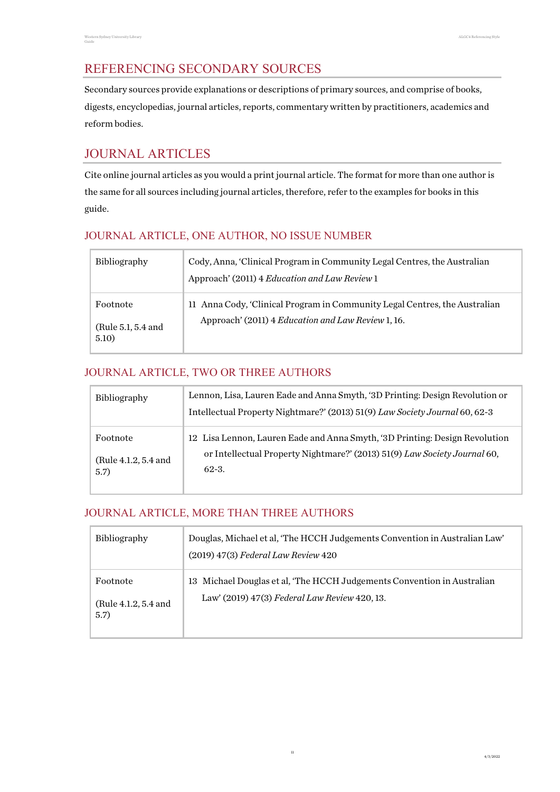# <span id="page-10-0"></span>REFERENCING SECONDARY SOURCES

Secondary sources provide explanations or descriptions of primary sources, and comprise of books, digests, encyclopedias, journal articles, reports, commentary written by practitioners, academics and reform bodies.

# <span id="page-10-1"></span>JOURNAL ARTICLES

Cite online journal articles as you would a print journal article. The format for more than one author is the same for all sources including journal articles, therefore, refer to the examples for books in this guide.

# <span id="page-10-2"></span>JOURNAL ARTICLE, ONE AUTHOR, NO ISSUE NUMBER

| <b>Bibliography</b>                     | Cody, Anna, 'Clinical Program in Community Legal Centres, the Australian<br>Approach' (2011) 4 Education and Law Review 1        |
|-----------------------------------------|----------------------------------------------------------------------------------------------------------------------------------|
| Footnote<br>(Rule 5.1, 5.4 and<br>5.10) | 11 Anna Cody, 'Clinical Program in Community Legal Centres, the Australian<br>Approach' (2011) 4 Education and Law Review 1, 16. |

# <span id="page-10-3"></span>JOURNAL ARTICLE, TWO OR THREE AUTHORS

| Bibliography                             | Lennon, Lisa, Lauren Eade and Anna Smyth, '3D Printing: Design Revolution or<br>Intellectual Property Nightmare?' (2013) 51(9) Law Society Journal 60, 62-3         |
|------------------------------------------|---------------------------------------------------------------------------------------------------------------------------------------------------------------------|
| Footnote<br>(Rule 4.1.2, 5.4 and<br>5.7) | 12 Lisa Lennon, Lauren Eade and Anna Smyth, '3D Printing: Design Revolution<br>or Intellectual Property Nightmare?' (2013) 51(9) Law Society Journal 60,<br>$62-3.$ |

# <span id="page-10-4"></span>JOURNAL ARTICLE, MORE THAN THREE AUTHORS

| <b>Bibliography</b>                      | Douglas, Michael et al, 'The HCCH Judgements Convention in Australian Law'<br>$(2019)$ 47(3) Federal Law Review 420      |
|------------------------------------------|--------------------------------------------------------------------------------------------------------------------------|
| Footnote<br>(Rule 4.1.2, 5.4 and<br>5.7) | 13 Michael Douglas et al, 'The HCCH Judgements Convention in Australian<br>Law' (2019) 47(3) Federal Law Review 420, 13. |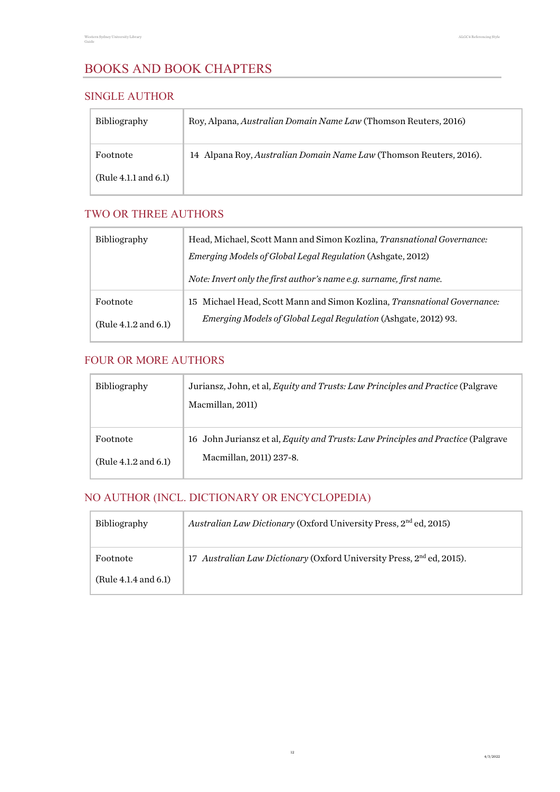# <span id="page-11-0"></span>BOOKS AND BOOK CHAPTERS

#### <span id="page-11-1"></span>SINGLE AUTHOR

| <b>Bibliography</b>  | Roy, Alpana, Australian Domain Name Law (Thomson Reuters, 2016)    |
|----------------------|--------------------------------------------------------------------|
| Footnote             | 14 Alpana Roy, Australian Domain Name Law (Thomson Reuters, 2016). |
| (Rule 4.1.1 and 6.1) |                                                                    |

#### <span id="page-11-2"></span>TWO OR THREE AUTHORS

| <b>Bibliography</b>              | Head, Michael, Scott Mann and Simon Kozlina, Transnational Governance:<br>Emerging Models of Global Legal Regulation (Ashgate, 2012)       |
|----------------------------------|--------------------------------------------------------------------------------------------------------------------------------------------|
|                                  | Note: Invert only the first author's name e.g. surname, first name.                                                                        |
| Footnote<br>(Rule 4.1.2 and 6.1) | 15 Michael Head, Scott Mann and Simon Kozlina, Transnational Governance:<br>Emerging Models of Global Legal Regulation (Ashgate, 2012) 93. |

## <span id="page-11-3"></span>FOUR OR MORE AUTHORS

| Bibliography         | Juriansz, John, et al, <i>Equity and Trusts: Law Principles and Practice</i> (Palgrave<br>Macmillan, 2011) |
|----------------------|------------------------------------------------------------------------------------------------------------|
| Footnote             | 16 John Juriansz et al, Equity and Trusts: Law Principles and Practice (Palgrave                           |
| (Rule 4.1.2 and 6.1) | Macmillan, 2011) 237-8.                                                                                    |

# <span id="page-11-4"></span>NO AUTHOR (INCL. DICTIONARY OR ENCYCLOPEDIA)

| <b>Bibliography</b>  | Australian Law Dictionary (Oxford University Press, 2 <sup>nd</sup> ed, 2015)     |
|----------------------|-----------------------------------------------------------------------------------|
| Footnote             | 17 Australian Law Dictionary (Oxford University Press, 2 <sup>nd</sup> ed, 2015). |
| (Rule 4.1.4 and 6.1) |                                                                                   |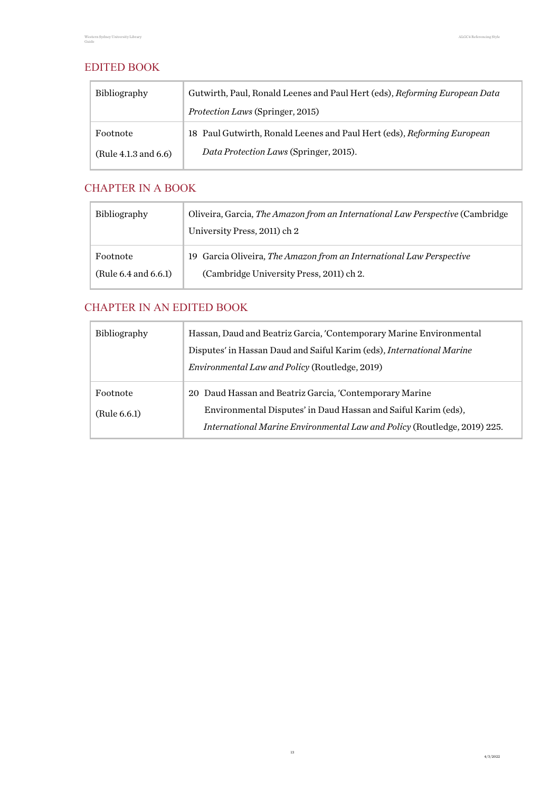#### <span id="page-12-0"></span>EDITED BOOK

| <b>Bibliography</b>  | Gutwirth, Paul, Ronald Leenes and Paul Hert (eds), Reforming European Data |
|----------------------|----------------------------------------------------------------------------|
|                      | <i>Protection Laws</i> (Springer, 2015)                                    |
| Footnote             | 18 Paul Gutwirth, Ronald Leenes and Paul Hert (eds), Reforming European    |
| (Rule 4.1.3 and 6.6) | Data Protection Laws (Springer, 2015).                                     |

#### <span id="page-12-1"></span>CHAPTER IN A BOOK

| <b>Bibliography</b>  | Oliveira, Garcia, The Amazon from an International Law Perspective (Cambridge)<br>University Press, 2011) ch 2 |
|----------------------|----------------------------------------------------------------------------------------------------------------|
| Footnote             | 19 Garcia Oliveira, The Amazon from an International Law Perspective                                           |
| (Rule 6.4 and 6.6.1) | (Cambridge University Press, 2011) ch 2.                                                                       |

# <span id="page-12-2"></span>CHAPTER IN AN EDITED BOOK

| Bibliography             | Hassan, Daud and Beatriz Garcia, 'Contemporary Marine Environmental<br>Disputes' in Hassan Daud and Saiful Karim (eds), International Marine<br>Environmental Law and Policy (Routledge, 2019)        |
|--------------------------|-------------------------------------------------------------------------------------------------------------------------------------------------------------------------------------------------------|
| Footnote<br>(Rule 6.6.1) | 20 Daud Hassan and Beatriz Garcia, 'Contemporary Marine<br>Environmental Disputes' in Daud Hassan and Saiful Karim (eds),<br>International Marine Environmental Law and Policy (Routledge, 2019) 225. |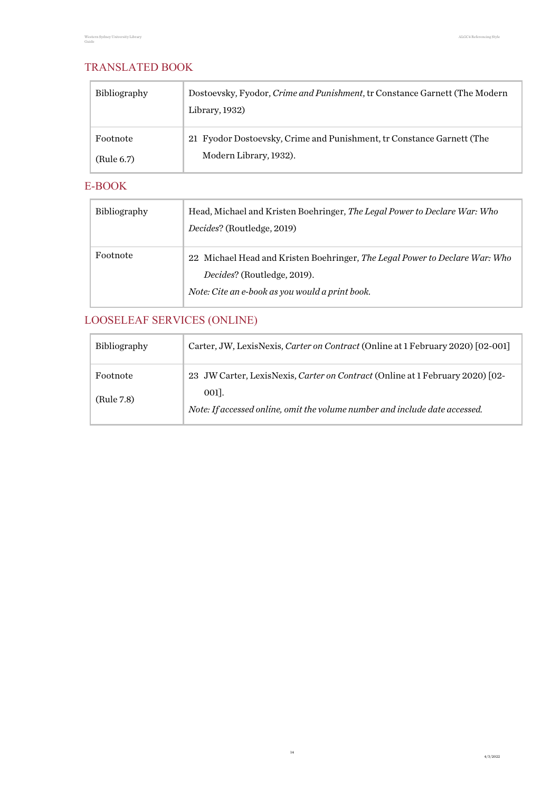## <span id="page-13-0"></span>TRANSLATED BOOK

| <b>Bibliography</b> | Dostoevsky, Fyodor, Crime and Punishment, tr Constance Garnett (The Modern<br>Library, 1932) |
|---------------------|----------------------------------------------------------------------------------------------|
| Footnote            | 21 Fyodor Dostoevsky, Crime and Punishment, tr Constance Garnett (The                        |
| (Rule 6.7)          | Modern Library, 1932).                                                                       |

#### <span id="page-13-1"></span>E-BOOK

| <b>Bibliography</b> | Head, Michael and Kristen Boehringer, The Legal Power to Declare War: Who<br>Decides? (Routledge, 2019)                                                       |
|---------------------|---------------------------------------------------------------------------------------------------------------------------------------------------------------|
| Footnote            | 22 Michael Head and Kristen Boehringer, The Legal Power to Declare War: Who<br>Decides? (Routledge, 2019).<br>Note: Cite an e-book as you would a print book. |

# <span id="page-13-2"></span>LOOSELEAF SERVICES (ONLINE)

| <b>Bibliography</b>    | Carter, JW, LexisNexis, Carter on Contract (Online at 1 February 2020) [02-001]                                                                                      |
|------------------------|----------------------------------------------------------------------------------------------------------------------------------------------------------------------|
| Footnote<br>(Rule 7.8) | 23 JW Carter, LexisNexis, Carter on Contract (Online at 1 February 2020) [02-<br>001.<br>Note: If accessed online, omit the volume number and include date accessed. |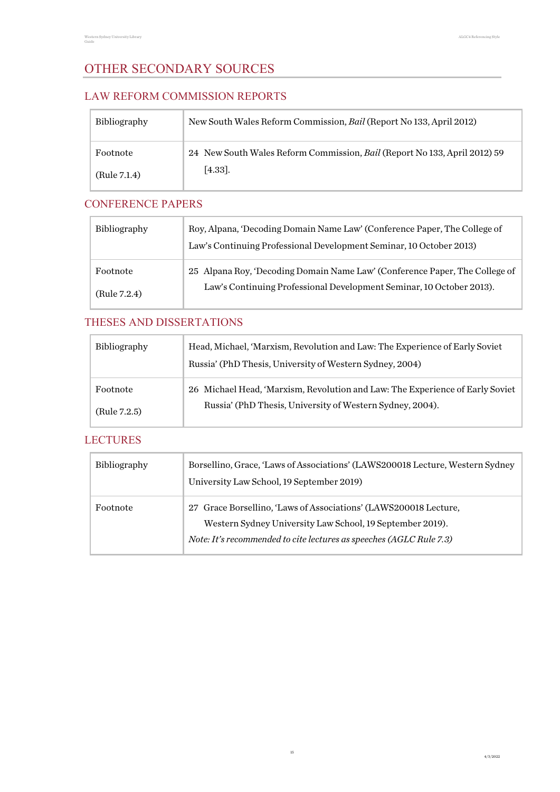# <span id="page-14-0"></span>OTHER SECONDARY SOURCES

#### <span id="page-14-1"></span>LAW REFORM COMMISSION REPORTS

| Bibliography | New South Wales Reform Commission, Bail (Report No 133, April 2012)       |
|--------------|---------------------------------------------------------------------------|
| Footnote     | 24 New South Wales Reform Commission, Bail (Report No 133, April 2012) 59 |
| (Rule 7.1.4) | $[4.33]$ .                                                                |

# <span id="page-14-2"></span>CONFERENCE PAPERS

| <b>Bibliography</b> | Roy, Alpana, 'Decoding Domain Name Law' (Conference Paper, The College of<br>Law's Continuing Professional Development Seminar, 10 October 2013) |
|---------------------|--------------------------------------------------------------------------------------------------------------------------------------------------|
| Footnote            | 25 Alpana Roy, 'Decoding Domain Name Law' (Conference Paper, The College of                                                                      |
| (Rule 7.2.4)        | Law's Continuing Professional Development Seminar, 10 October 2013).                                                                             |

# <span id="page-14-3"></span>THESES AND DISSERTATIONS

| <b>Bibliography</b> | Head, Michael, 'Marxism, Revolution and Law: The Experience of Early Soviet<br>Russia' (PhD Thesis, University of Western Sydney, 2004) |
|---------------------|-----------------------------------------------------------------------------------------------------------------------------------------|
| Footnote            | 26 Michael Head, 'Marxism, Revolution and Law: The Experience of Early Soviet                                                           |
| (Rule 7.2.5)        | Russia' (PhD Thesis, University of Western Sydney, 2004).                                                                               |

## <span id="page-14-4"></span>**LECTURES**

| <b>Bibliography</b> | Borsellino, Grace, 'Laws of Associations' (LAWS200018 Lecture, Western Sydney<br>University Law School, 19 September 2019)                                                                           |
|---------------------|------------------------------------------------------------------------------------------------------------------------------------------------------------------------------------------------------|
| Footnote            | 27 Grace Borsellino, 'Laws of Associations' (LAWS200018 Lecture,<br>Western Sydney University Law School, 19 September 2019).<br>Note: It's recommended to cite lectures as speeches (AGLC Rule 7.3) |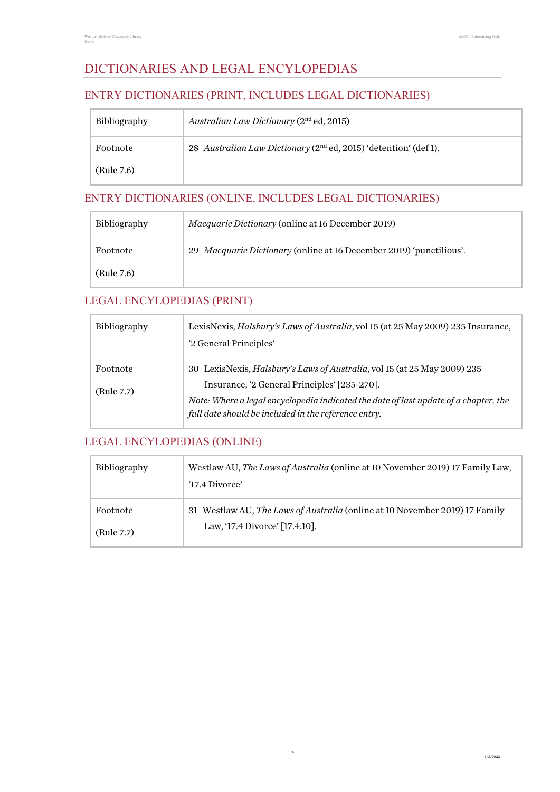# <span id="page-15-0"></span>DICTIONARIES AND LEGAL ENCYLOPEDIAS

#### <span id="page-15-1"></span>ENTRY DICTIONARIES (PRINT, INCLUDES LEGAL DICTIONARIES)

| <b>Bibliography</b> | Australian Law Dictionary $(2nd$ ed, 2015)                                   |
|---------------------|------------------------------------------------------------------------------|
| Footnote            | 28 Australian Law Dictionary (2 <sup>nd</sup> ed, 2015) 'detention' (def 1). |
| (Rule 7.6)          |                                                                              |

# <span id="page-15-2"></span>ENTRY DICTIONARIES (ONLINE, INCLUDES LEGAL DICTIONARIES)

| <b>Bibliography</b> | <i>Macquarie Dictionary</i> (online at 16 December 2019)            |
|---------------------|---------------------------------------------------------------------|
| Footnote            | 29 Macquarie Dictionary (online at 16 December 2019) 'punctilious'. |
| (Rule 7.6)          |                                                                     |

#### <span id="page-15-3"></span>LEGAL ENCYLOPEDIAS (PRINT)

| <b>Bibliography</b>    | LexisNexis, <i>Halsbury's Laws of Australia</i> , vol 15 (at 25 May 2009) 235 Insurance,<br>'2 General Principles'                                                                                                                                                       |
|------------------------|--------------------------------------------------------------------------------------------------------------------------------------------------------------------------------------------------------------------------------------------------------------------------|
| Footnote<br>(Rule 7.7) | 30 LexisNexis, Halsbury's Laws of Australia, vol 15 (at 25 May 2009) 235<br>Insurance, '2 General Principles' [235-270].<br>Note: Where a legal encyclopedia indicated the date of last update of a chapter, the<br>full date should be included in the reference entry. |

#### <span id="page-15-4"></span>LEGAL ENCYLOPEDIAS (ONLINE)

| <b>Bibliography</b> | Westlaw AU, The Laws of Australia (online at 10 November 2019) 17 Family Law,<br>'17.4 Divorce' |
|---------------------|-------------------------------------------------------------------------------------------------|
| Footnote            | 31 Westlaw AU, The Laws of Australia (online at 10 November 2019) 17 Family                     |
| (Rule 7.7)          | Law, '17.4 Divorce' [17.4.10].                                                                  |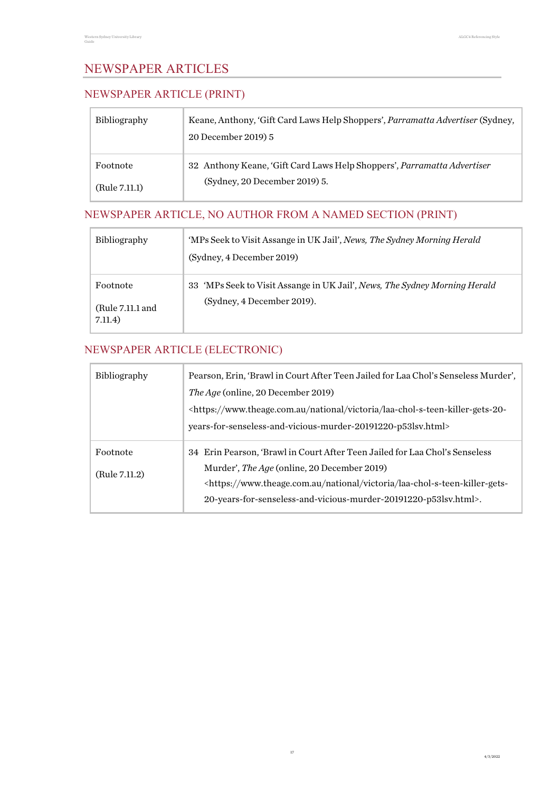# <span id="page-16-0"></span>NEWSPAPER ARTICLES

# <span id="page-16-1"></span>NEWSPAPER ARTICLE (PRINT)

| <b>Bibliography</b> | Keane, Anthony, 'Gift Card Laws Help Shoppers', <i>Parramatta Advertiser</i> (Sydney,<br>20 December 2019) 5 |
|---------------------|--------------------------------------------------------------------------------------------------------------|
| Footnote            | 32 Anthony Keane, 'Gift Card Laws Help Shoppers', Parramatta Advertiser                                      |
| (Rule 7.11.1)       | (Sydney, 20 December 2019) 5.                                                                                |

# <span id="page-16-2"></span>NEWSPAPER ARTICLE, NO AUTHOR FROM A NAMED SECTION (PRINT)

| <b>Bibliography</b>                     | 'MPs Seek to Visit Assange in UK Jail', News, The Sydney Morning Herald<br>(Sydney, 4 December 2019)     |
|-----------------------------------------|----------------------------------------------------------------------------------------------------------|
| Footnote<br>(Rule 7.11.1 and<br>7.11.4) | 33 'MPs Seek to Visit Assange in UK Jail', News, The Sydney Morning Herald<br>(Sydney, 4 December 2019). |

# <span id="page-16-3"></span>NEWSPAPER ARTICLE (ELECTRONIC)

| <b>Bibliography</b> | Pearson, Erin, 'Brawl in Court After Teen Jailed for Laa Chol's Senseless Murder',                       |
|---------------------|----------------------------------------------------------------------------------------------------------|
|                     | The Age (online, 20 December 2019)                                                                       |
|                     | <https: laa-chol-s-teen-killer-gets-20-<="" national="" td="" victoria="" www.theage.com.au=""></https:> |
|                     | years-for-senseless-and-vicious-murder-20191220-p53lsv.html>                                             |
| Footnote            | 34 Erin Pearson, 'Brawl in Court After Teen Jailed for Laa Chol's Senseless                              |
| (Rule 7.11.2)       | Murder', The Age (online, 20 December 2019)                                                              |
|                     | <https: laa-chol-s-teen-killer-gets-<="" national="" td="" victoria="" www.theage.com.au=""></https:>    |
|                     | 20-years-for-senseless-and-vicious-murder-20191220-p53lsv.html>.                                         |